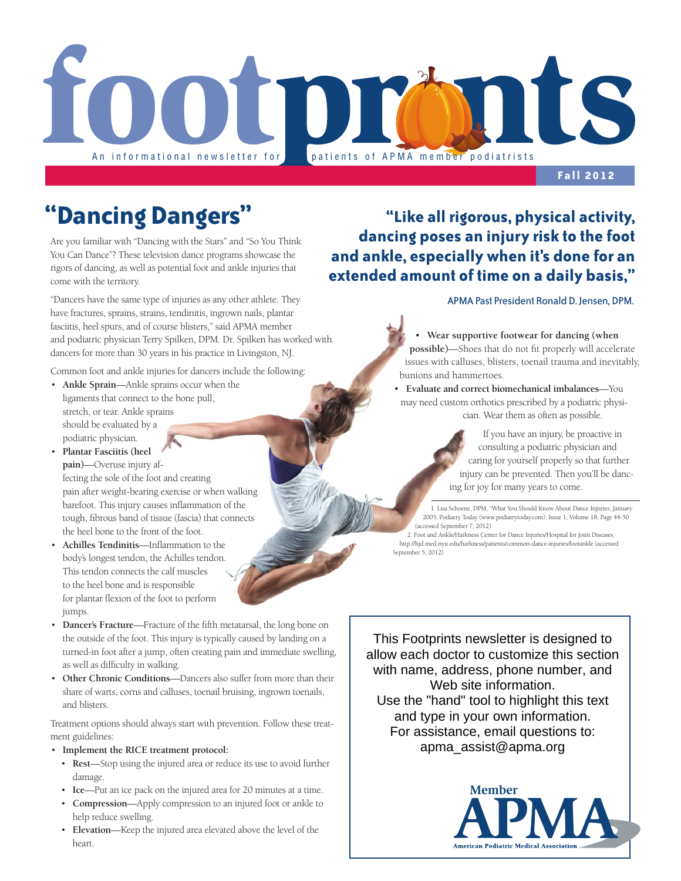

**Fall 2012**

Are you familiar with "Dancing with the Stars" and "So You Think You Can Dance"? These television dance programs showcase the rigors of dancing, as well as potential foot and ankle injuries that come with the territory.

"Dancers have the same type of injuries as any other athlete. They have fractures, sprains, strains, tendinitis, ingrown nails, plantar fasciitis, heel spurs, and of course blisters," said APMA member and podiatric physician Terry Spilken, DPM. Dr. Spilken has worked with dancers for more than 30 years in his practice in Livingston, NJ.

Common foot and ankle injuries for dancers include the following:

- • **Ankle Sprain**—Ankle sprains occur when the ligaments that connect to the bone pull, stretch, or tear. Ankle sprains should be evaluated by a podiatric physician.
- • **Plantar Fasciitis (heel pain)**—Overuse injury affecting the sole of the foot and creating pain after weight-bearing exercise or when walking barefoot. This injury causes inflammation of the tough, fibrous band of tissue (fascia) that connects the heel bone to the front of the foot.
- • **Achilles Tendinitis**—Inflammation to the body's longest tendon, the Achilles tendon. This tendon connects the calf muscles to the heel bone and is responsible for plantar flexion of the foot to perform jumps.
- **Dancer's Fracture**—Fracture of the fifth metatarsal, the long bone on the outside of the foot. This injury is typically caused by landing on a turned-in foot after a jump, often creating pain and immediate swelling, as well as difficulty in walking.
- **Other Chronic Conditions**—Dancers also suffer from more than their share of warts, corns and calluses, toenail bruising, ingrown toenails, and blisters.

Treatment options should always start with prevention. Follow these treatment guidelines:

#### • **Implement the RICE treatment protocol:**

- • **Rest**—Stop using the injured area or reduce its use to avoid further damage.
- • **Ice**—Put an ice pack on the injured area for 20 minutes at a time.
- • **Compression**—Apply compression to an injured foot or ankle to help reduce swelling.
- • **Elevation**—Keep the injured area elevated above the level of the heart.

## **"Dancing Dangers" "Like all rigorous, physical activity, dancing poses an injury risk to the foot and ankle, especially when it's done for an extended amount of time on a daily basis,"**

### APMA Past President Ronald D. Jensen, DPM.

• **Wear supportive footwear for dancing (when possible)**—Shoes that do not fit properly will accelerate issues with calluses, blisters, toenail trauma and inevitably, bunions and hammertoes.

• **Evaluate and correct biomechanical imbalances**—You may need custom orthotics prescribed by a podiatric physician. Wear them as often as possible.

> If you have an injury, be proactive in consulting a podiatric physician and caring for yourself properly so that further injury can be prevented. Then you'll be dancing for joy for many years to come.

1. Lisa Schoene, DPM, "What You Should Know About Dance Injuries, January 2005, Podiatry Today (www.podiatrytoday.com), Issue 1; Volume 18; Page 44-50 (accessed September 7, 2012)

2. Foot and Ankle/Harkness Center for Dance Injuries/Hospital for Joint Diseases, http://hjd.med.nyu.edu/harkness/patients/common-dance-injuries/footankle (accessed September 5, 2012)

This Footprints newsletter is designed to allow each doctor to customize this section with name, address, phone number, and Web site information. Use the "hand" tool to highlight this text and type in your own information. For assistance, email questions to: apma\_assist@apma.org